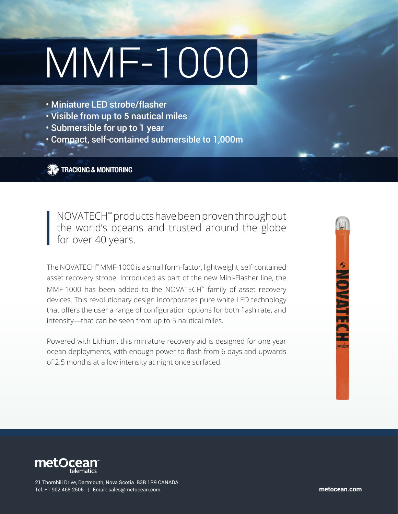# MMF-1000

- Miniature LED strobe/flasher
- Visible from up to 5 nautical miles
- Submersible for up to 1 year
- Compact, self-contained submersible to 1,000m

**TRACKING & MONITORING**

NOVATECH™ products have been proven throughout the world's oceans and trusted around the globe for over 40 years.

The NOVATECH™ MMF-1000 is a small form-factor, lightweight, self-contained asset recovery strobe. Introduced as part of the new Mini-Flasher line, the MMF-1000 has been added to the NOVATECH™ family of asset recovery devices. This revolutionary design incorporates pure white LED technology that offers the user a range of configuration options for both flash rate, and intensity—that can be seen from up to 5 nautical miles.

Powered with Lithium, this miniature recovery aid is designed for one year ocean deployments, with enough power to flash from 6 days and upwards of 2.5 months at a low intensity at night once surfaced.





21 Thornhill Drive, Dartmouth, Nova Scotia B3B 1R9 CANADA Tel: +1 902 468-2505 | Email: sales@metocean.com **metocean.com**